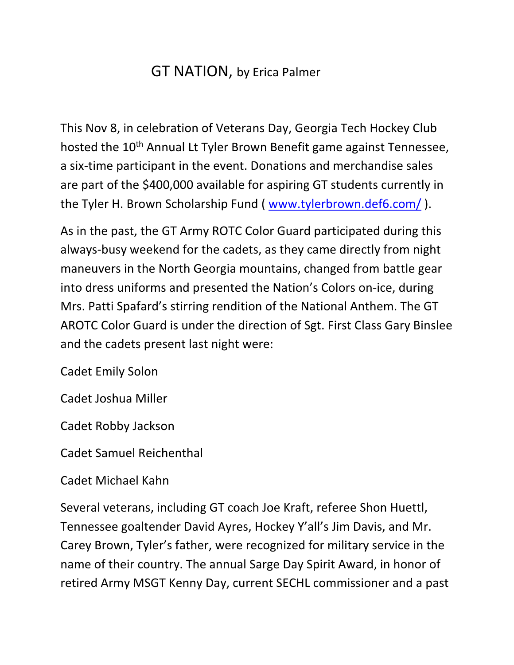## GT NATION, by Erica Palmer

This Nov 8, in celebration of Veterans Day, Georgia Tech Hockey Club hosted the 10<sup>th</sup> Annual Lt Tyler Brown Benefit game against Tennessee, a six-time participant in the event. Donations and merchandise sales are part of the \$400,000 available for aspiring GT students currently in the Tyler H. Brown Scholarship Fund ( www.tylerbrown.def6.com/ ).

As in the past, the GT Army ROTC Color Guard participated during this always-busy weekend for the cadets, as they came directly from night maneuvers in the North Georgia mountains, changed from battle gear into dress uniforms and presented the Nation's Colors on-ice, during Mrs. Patti Spafard's stirring rendition of the National Anthem. The GT AROTC Color Guard is under the direction of Sgt. First Class Gary Binslee and the cadets present last night were:

Cadet Emily Solon

Cadet Joshua Miller

Cadet Robby Jackson

Cadet Samuel Reichenthal

Cadet Michael Kahn

Several veterans, including GT coach Joe Kraft, referee Shon Huettl, Tennessee goaltender David Ayres, Hockey Y'all's Jim Davis, and Mr. Carey Brown, Tyler's father, were recognized for military service in the name of their country. The annual Sarge Day Spirit Award, in honor of retired Army MSGT Kenny Day, current SECHL commissioner and a past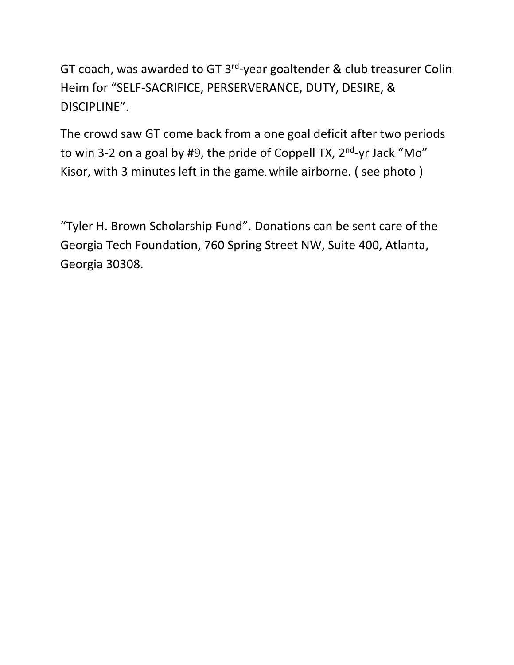GT coach, was awarded to GT 3rd-year goaltender & club treasurer Colin Heim for "SELF-SACRIFICE, PERSERVERANCE, DUTY, DESIRE, & DISCIPLINE".

The crowd saw GT come back from a one goal deficit after two periods to win 3-2 on a goal by #9, the pride of Coppell TX,  $2^{nd}$ -yr Jack "Mo" Kisor, with 3 minutes left in the game, while airborne. ( see photo )

"Tyler H. Brown Scholarship Fund". Donations can be sent care of the Georgia Tech Foundation, 760 Spring Street NW, Suite 400, Atlanta, Georgia 30308.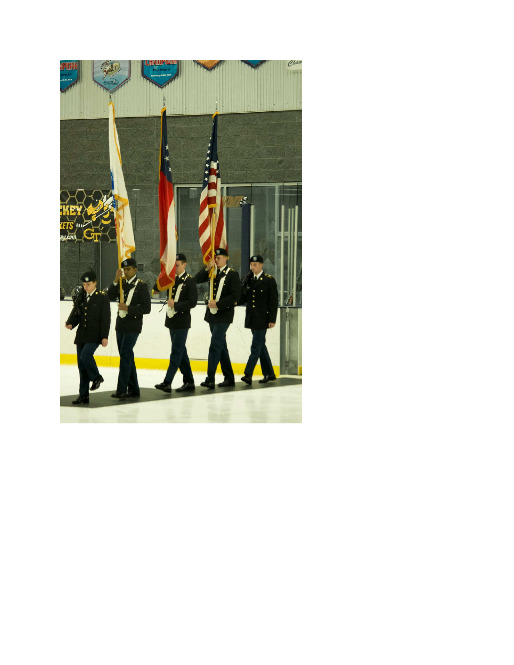